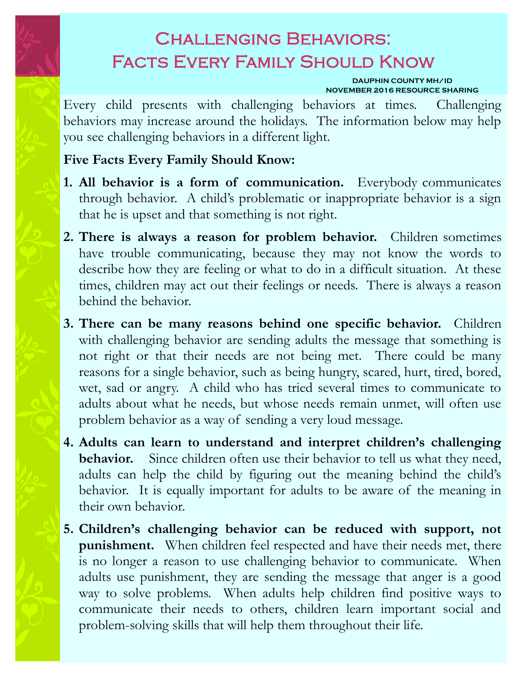# Challenging Behaviors: FACTS EVERY FAMILY SHOULD KNOW

#### **DAUPHIN COUNTY MH/ID NOVEMBER 2016 RESOURCE SHARING**

Every child presents with challenging behaviors at times. Challenging behaviors may increase around the holidays. The information below may help you see challenging behaviors in a different light.

### **Five Facts Every Family Should Know:**

- **1. All behavior is a form of communication.** Everybody communicates through behavior. A child's problematic or inappropriate behavior is a sign that he is upset and that something is not right.
- **2. There is always a reason for problem behavior.** Children sometimes have trouble communicating, because they may not know the words to describe how they are feeling or what to do in a difficult situation. At these times, children may act out their feelings or needs. There is always a reason behind the behavior.
- **3. There can be many reasons behind one specific behavior.** Children with challenging behavior are sending adults the message that something is not right or that their needs are not being met. There could be many reasons for a single behavior, such as being hungry, scared, hurt, tired, bored, wet, sad or angry. A child who has tried several times to communicate to adults about what he needs, but whose needs remain unmet, will often use problem behavior as a way of sending a very loud message.
- **4. Adults can learn to understand and interpret children's challenging behavior.** Since children often use their behavior to tell us what they need, adults can help the child by figuring out the meaning behind the child's behavior. It is equally important for adults to be aware of the meaning in their own behavior.
- **5. Children's challenging behavior can be reduced with support, not punishment.** When children feel respected and have their needs met, there is no longer a reason to use challenging behavior to communicate. When adults use punishment, they are sending the message that anger is a good way to solve problems. When adults help children find positive ways to communicate their needs to others, children learn important social and problem-solving skills that will help them throughout their life.